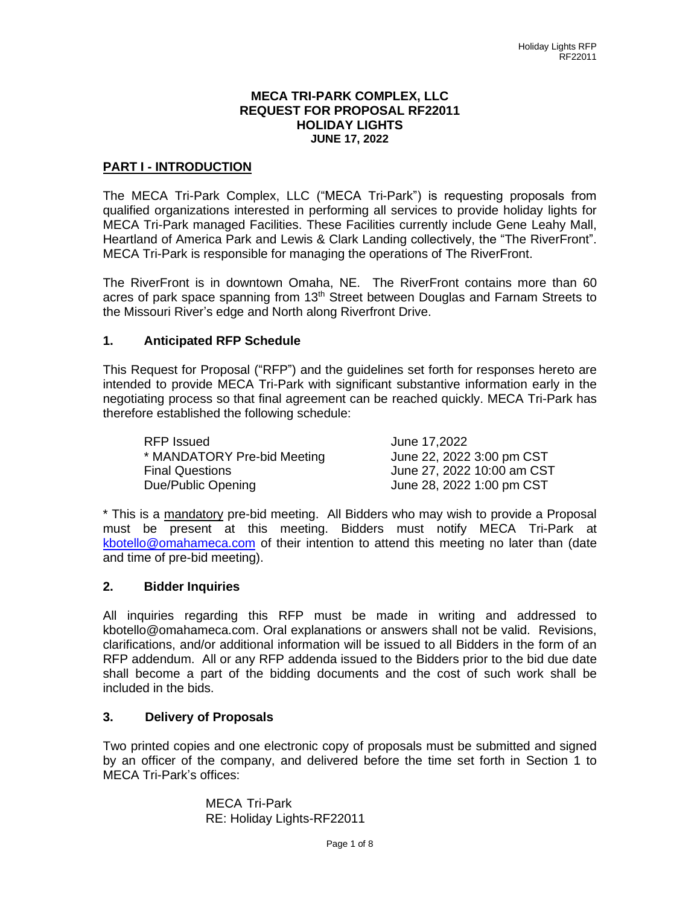#### **MECA TRI-PARK COMPLEX, LLC REQUEST FOR PROPOSAL RF22011 HOLIDAY LIGHTS JUNE 17, 2022**

## **PART I - INTRODUCTION**

The MECA Tri-Park Complex, LLC ("MECA Tri-Park") is requesting proposals from qualified organizations interested in performing all services to provide holiday lights for MECA Tri-Park managed Facilities. These Facilities currently include Gene Leahy Mall, Heartland of America Park and Lewis & Clark Landing collectively, the "The RiverFront". MECA Tri-Park is responsible for managing the operations of The RiverFront.

The RiverFront is in downtown Omaha, NE. The RiverFront contains more than 60 acres of park space spanning from 13<sup>th</sup> Street between Douglas and Farnam Streets to the Missouri River's edge and North along Riverfront Drive.

## **1. Anticipated RFP Schedule**

This Request for Proposal ("RFP") and the guidelines set forth for responses hereto are intended to provide MECA Tri-Park with significant substantive information early in the negotiating process so that final agreement can be reached quickly. MECA Tri-Park has therefore established the following schedule:

| RFP Issued                  | June 17,2022               |
|-----------------------------|----------------------------|
| * MANDATORY Pre-bid Meeting | June 22, 2022 3:00 pm CST  |
| <b>Final Questions</b>      | June 27, 2022 10:00 am CST |
| Due/Public Opening          | June 28, 2022 1:00 pm CST  |

\* This is a mandatory pre-bid meeting. All Bidders who may wish to provide a Proposal must be present at this meeting. Bidders must notify MECA Tri-Park at [kbotello@omahameca.com](mailto:kbotello@omahameca.com) of their intention to attend this meeting no later than (date and time of pre-bid meeting).

#### **2. Bidder Inquiries**

All inquiries regarding this RFP must be made in writing and addressed to kbotello@omahameca.com. Oral explanations or answers shall not be valid. Revisions, clarifications, and/or additional information will be issued to all Bidders in the form of an RFP addendum. All or any RFP addenda issued to the Bidders prior to the bid due date shall become a part of the bidding documents and the cost of such work shall be included in the bids.

## **3. Delivery of Proposals**

Two printed copies and one electronic copy of proposals must be submitted and signed by an officer of the company, and delivered before the time set forth in Section 1 to MECA Tri-Park's offices:

> MECA Tri-Park RE: Holiday Lights-RF22011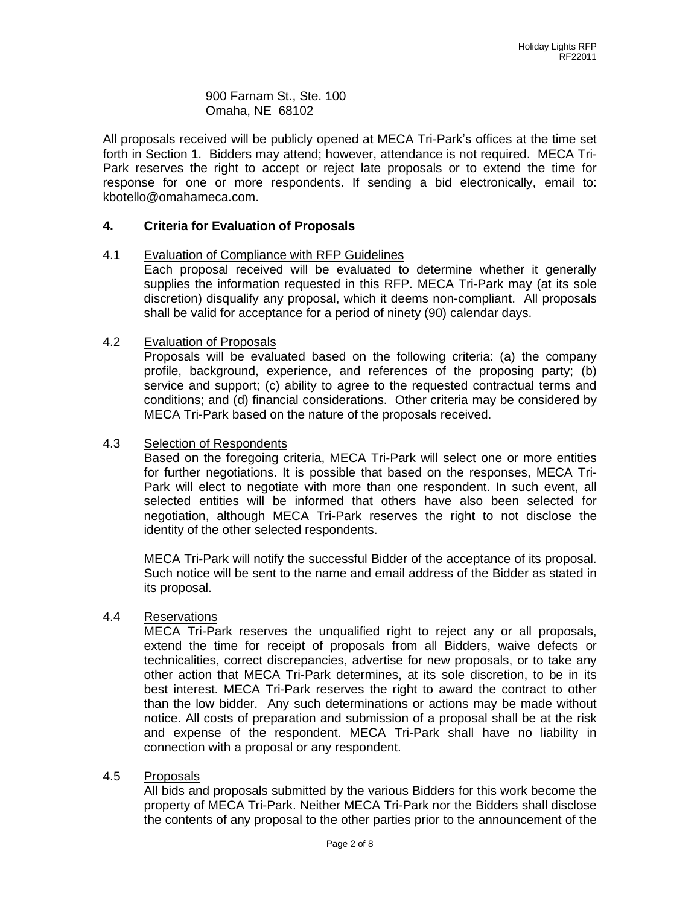900 Farnam St., Ste. 100 Omaha, NE 68102

All proposals received will be publicly opened at MECA Tri-Park's offices at the time set forth in Section 1. Bidders may attend; however, attendance is not required. MECA Tri-Park reserves the right to accept or reject late proposals or to extend the time for response for one or more respondents. If sending a bid electronically, email to: kbotello@omahameca.com.

## **4. Criteria for Evaluation of Proposals**

#### 4.1 Evaluation of Compliance with RFP Guidelines

Each proposal received will be evaluated to determine whether it generally supplies the information requested in this RFP. MECA Tri-Park may (at its sole discretion) disqualify any proposal, which it deems non-compliant. All proposals shall be valid for acceptance for a period of ninety (90) calendar days.

#### 4.2 Evaluation of Proposals

Proposals will be evaluated based on the following criteria: (a) the company profile, background, experience, and references of the proposing party; (b) service and support; (c) ability to agree to the requested contractual terms and conditions; and (d) financial considerations. Other criteria may be considered by MECA Tri-Park based on the nature of the proposals received.

## 4.3 Selection of Respondents

Based on the foregoing criteria, MECA Tri-Park will select one or more entities for further negotiations. It is possible that based on the responses, MECA Tri-Park will elect to negotiate with more than one respondent. In such event, all selected entities will be informed that others have also been selected for negotiation, although MECA Tri-Park reserves the right to not disclose the identity of the other selected respondents.

MECA Tri-Park will notify the successful Bidder of the acceptance of its proposal. Such notice will be sent to the name and email address of the Bidder as stated in its proposal.

#### 4.4 Reservations

MECA Tri-Park reserves the unqualified right to reject any or all proposals, extend the time for receipt of proposals from all Bidders, waive defects or technicalities, correct discrepancies, advertise for new proposals, or to take any other action that MECA Tri-Park determines, at its sole discretion, to be in its best interest. MECA Tri-Park reserves the right to award the contract to other than the low bidder. Any such determinations or actions may be made without notice. All costs of preparation and submission of a proposal shall be at the risk and expense of the respondent. MECA Tri-Park shall have no liability in connection with a proposal or any respondent.

#### 4.5 Proposals

All bids and proposals submitted by the various Bidders for this work become the property of MECA Tri-Park. Neither MECA Tri-Park nor the Bidders shall disclose the contents of any proposal to the other parties prior to the announcement of the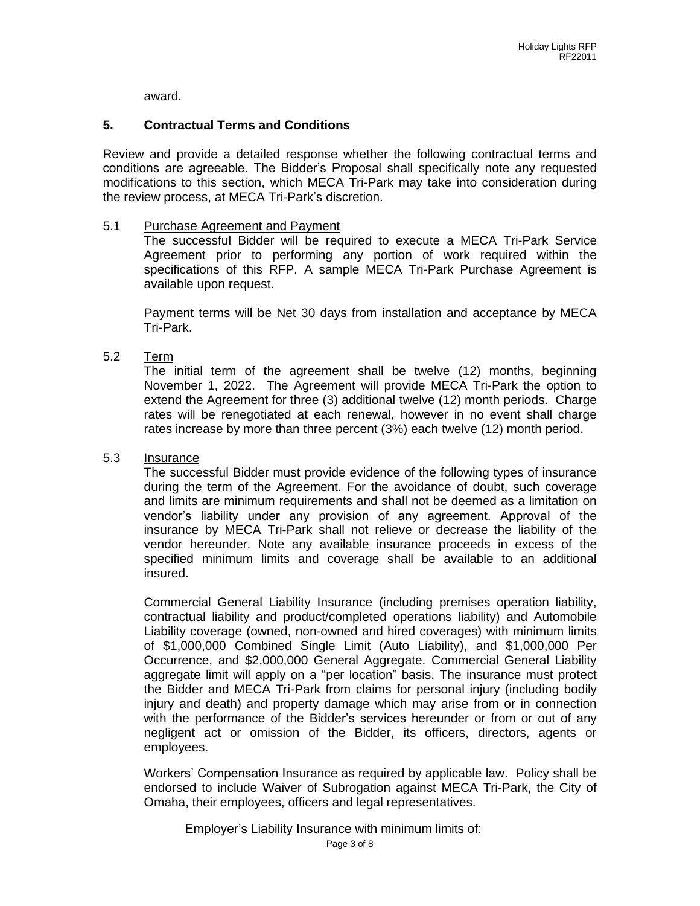award.

## **5. Contractual Terms and Conditions**

Review and provide a detailed response whether the following contractual terms and conditions are agreeable. The Bidder's Proposal shall specifically note any requested modifications to this section, which MECA Tri-Park may take into consideration during the review process, at MECA Tri-Park's discretion.

#### 5.1 Purchase Agreement and Payment

The successful Bidder will be required to execute a MECA Tri-Park Service Agreement prior to performing any portion of work required within the specifications of this RFP. A sample MECA Tri-Park Purchase Agreement is available upon request.

Payment terms will be Net 30 days from installation and acceptance by MECA Tri-Park.

5.2 Term

The initial term of the agreement shall be twelve (12) months, beginning November 1, 2022. The Agreement will provide MECA Tri-Park the option to extend the Agreement for three (3) additional twelve (12) month periods. Charge rates will be renegotiated at each renewal, however in no event shall charge rates increase by more than three percent (3%) each twelve (12) month period.

#### 5.3 Insurance

The successful Bidder must provide evidence of the following types of insurance during the term of the Agreement. For the avoidance of doubt, such coverage and limits are minimum requirements and shall not be deemed as a limitation on vendor's liability under any provision of any agreement. Approval of the insurance by MECA Tri-Park shall not relieve or decrease the liability of the vendor hereunder. Note any available insurance proceeds in excess of the specified minimum limits and coverage shall be available to an additional insured.

Commercial General Liability Insurance (including premises operation liability, contractual liability and product/completed operations liability) and Automobile Liability coverage (owned, non-owned and hired coverages) with minimum limits of \$1,000,000 Combined Single Limit (Auto Liability), and \$1,000,000 Per Occurrence, and \$2,000,000 General Aggregate. Commercial General Liability aggregate limit will apply on a "per location" basis. The insurance must protect the Bidder and MECA Tri-Park from claims for personal injury (including bodily injury and death) and property damage which may arise from or in connection with the performance of the Bidder's services hereunder or from or out of any negligent act or omission of the Bidder, its officers, directors, agents or employees.

Workers' Compensation Insurance as required by applicable law. Policy shall be endorsed to include Waiver of Subrogation against MECA Tri-Park, the City of Omaha, their employees, officers and legal representatives.

Employer's Liability Insurance with minimum limits of: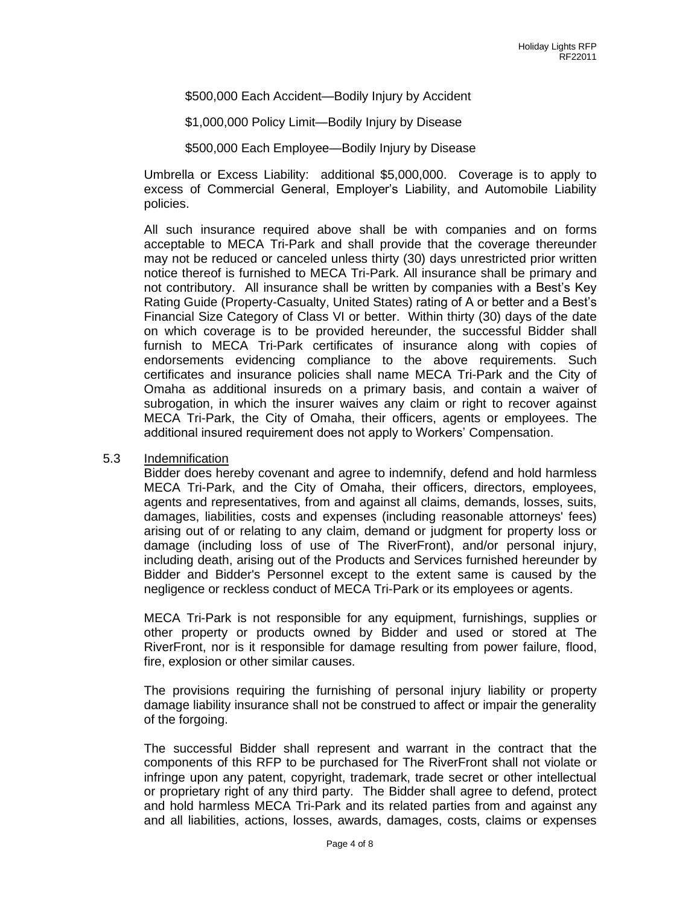### \$500,000 Each Accident—Bodily Injury by Accident

\$1,000,000 Policy Limit—Bodily Injury by Disease

\$500,000 Each Employee—Bodily Injury by Disease

Umbrella or Excess Liability: additional \$5,000,000. Coverage is to apply to excess of Commercial General, Employer's Liability, and Automobile Liability policies.

All such insurance required above shall be with companies and on forms acceptable to MECA Tri-Park and shall provide that the coverage thereunder may not be reduced or canceled unless thirty (30) days unrestricted prior written notice thereof is furnished to MECA Tri-Park. All insurance shall be primary and not contributory. All insurance shall be written by companies with a Best's Key Rating Guide (Property-Casualty, United States) rating of A or better and a Best's Financial Size Category of Class VI or better. Within thirty (30) days of the date on which coverage is to be provided hereunder, the successful Bidder shall furnish to MECA Tri-Park certificates of insurance along with copies of endorsements evidencing compliance to the above requirements. Such certificates and insurance policies shall name MECA Tri-Park and the City of Omaha as additional insureds on a primary basis, and contain a waiver of subrogation, in which the insurer waives any claim or right to recover against MECA Tri-Park, the City of Omaha, their officers, agents or employees. The additional insured requirement does not apply to Workers' Compensation.

#### 5.3 Indemnification

Bidder does hereby covenant and agree to indemnify, defend and hold harmless MECA Tri-Park, and the City of Omaha, their officers, directors, employees, agents and representatives, from and against all claims, demands, losses, suits, damages, liabilities, costs and expenses (including reasonable attorneys' fees) arising out of or relating to any claim, demand or judgment for property loss or damage (including loss of use of The RiverFront), and/or personal injury, including death, arising out of the Products and Services furnished hereunder by Bidder and Bidder's Personnel except to the extent same is caused by the negligence or reckless conduct of MECA Tri-Park or its employees or agents.

MECA Tri-Park is not responsible for any equipment, furnishings, supplies or other property or products owned by Bidder and used or stored at The RiverFront, nor is it responsible for damage resulting from power failure, flood, fire, explosion or other similar causes.

The provisions requiring the furnishing of personal injury liability or property damage liability insurance shall not be construed to affect or impair the generality of the forgoing.

The successful Bidder shall represent and warrant in the contract that the components of this RFP to be purchased for The RiverFront shall not violate or infringe upon any patent, copyright, trademark, trade secret or other intellectual or proprietary right of any third party. The Bidder shall agree to defend, protect and hold harmless MECA Tri-Park and its related parties from and against any and all liabilities, actions, losses, awards, damages, costs, claims or expenses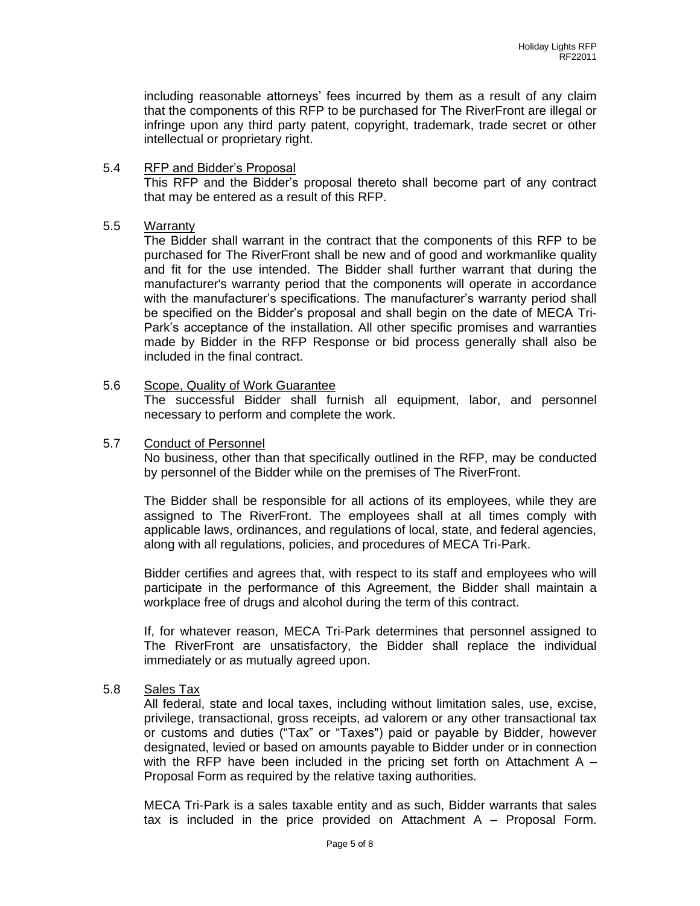including reasonable attorneys' fees incurred by them as a result of any claim that the components of this RFP to be purchased for The RiverFront are illegal or infringe upon any third party patent, copyright, trademark, trade secret or other intellectual or proprietary right.

## 5.4 RFP and Bidder's Proposal

This RFP and the Bidder's proposal thereto shall become part of any contract that may be entered as a result of this RFP.

## 5.5 Warranty

The Bidder shall warrant in the contract that the components of this RFP to be purchased for The RiverFront shall be new and of good and workmanlike quality and fit for the use intended. The Bidder shall further warrant that during the manufacturer's warranty period that the components will operate in accordance with the manufacturer's specifications. The manufacturer's warranty period shall be specified on the Bidder's proposal and shall begin on the date of MECA Tri-Park's acceptance of the installation. All other specific promises and warranties made by Bidder in the RFP Response or bid process generally shall also be included in the final contract.

#### 5.6 Scope, Quality of Work Guarantee

The successful Bidder shall furnish all equipment, labor, and personnel necessary to perform and complete the work.

## 5.7 Conduct of Personnel

No business, other than that specifically outlined in the RFP, may be conducted by personnel of the Bidder while on the premises of The RiverFront.

The Bidder shall be responsible for all actions of its employees, while they are assigned to The RiverFront. The employees shall at all times comply with applicable laws, ordinances, and regulations of local, state, and federal agencies, along with all regulations, policies, and procedures of MECA Tri-Park.

Bidder certifies and agrees that, with respect to its staff and employees who will participate in the performance of this Agreement, the Bidder shall maintain a workplace free of drugs and alcohol during the term of this contract.

If, for whatever reason, MECA Tri-Park determines that personnel assigned to The RiverFront are unsatisfactory, the Bidder shall replace the individual immediately or as mutually agreed upon.

## 5.8 Sales Tax

All federal, state and local taxes, including without limitation sales, use, excise, privilege, transactional, gross receipts, ad valorem or any other transactional tax or customs and duties ("Tax" or "Taxes") paid or payable by Bidder, however designated, levied or based on amounts payable to Bidder under or in connection with the RFP have been included in the pricing set forth on Attachment A  $-$ Proposal Form as required by the relative taxing authorities.

MECA Tri-Park is a sales taxable entity and as such, Bidder warrants that sales tax is included in the price provided on Attachment A – Proposal Form.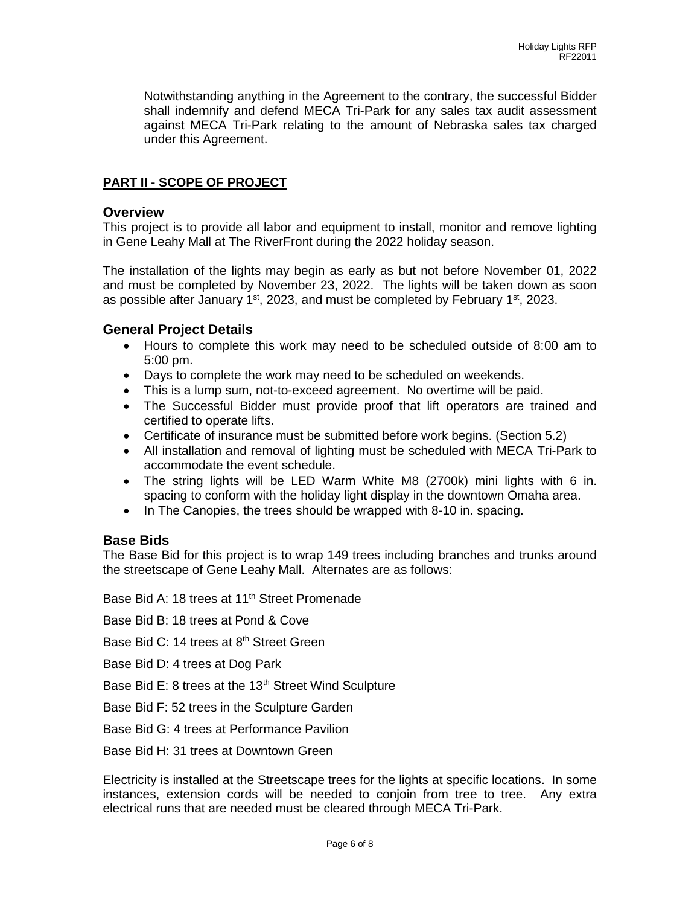Notwithstanding anything in the Agreement to the contrary, the successful Bidder shall indemnify and defend MECA Tri-Park for any sales tax audit assessment against MECA Tri-Park relating to the amount of Nebraska sales tax charged under this Agreement.

# **PART II - SCOPE OF PROJECT**

#### **Overview**

This project is to provide all labor and equipment to install, monitor and remove lighting in Gene Leahy Mall at The RiverFront during the 2022 holiday season.

The installation of the lights may begin as early as but not before November 01, 2022 and must be completed by November 23, 2022. The lights will be taken down as soon as possible after January  $1<sup>st</sup>$ , 2023, and must be completed by February  $1<sup>st</sup>$ , 2023.

## **General Project Details**

- Hours to complete this work may need to be scheduled outside of 8:00 am to 5:00 pm.
- Days to complete the work may need to be scheduled on weekends.
- This is a lump sum, not-to-exceed agreement. No overtime will be paid.
- The Successful Bidder must provide proof that lift operators are trained and certified to operate lifts.
- Certificate of insurance must be submitted before work begins. (Section 5.2)
- All installation and removal of lighting must be scheduled with MECA Tri-Park to accommodate the event schedule.
- The string lights will be LED Warm White M8 (2700k) mini lights with 6 in. spacing to conform with the holiday light display in the downtown Omaha area.
- In The Canopies, the trees should be wrapped with 8-10 in. spacing.

## **Base Bids**

The Base Bid for this project is to wrap 149 trees including branches and trunks around the streetscape of Gene Leahy Mall. Alternates are as follows:

Base Bid A: 18 trees at 11<sup>th</sup> Street Promenade

Base Bid B: 18 trees at Pond & Cove

Base Bid C: 14 trees at 8<sup>th</sup> Street Green

Base Bid D: 4 trees at Dog Park

Base Bid E: 8 trees at the 13<sup>th</sup> Street Wind Sculpture

Base Bid F: 52 trees in the Sculpture Garden

Base Bid G: 4 trees at Performance Pavilion

Base Bid H: 31 trees at Downtown Green

Electricity is installed at the Streetscape trees for the lights at specific locations. In some instances, extension cords will be needed to conjoin from tree to tree. Any extra electrical runs that are needed must be cleared through MECA Tri-Park.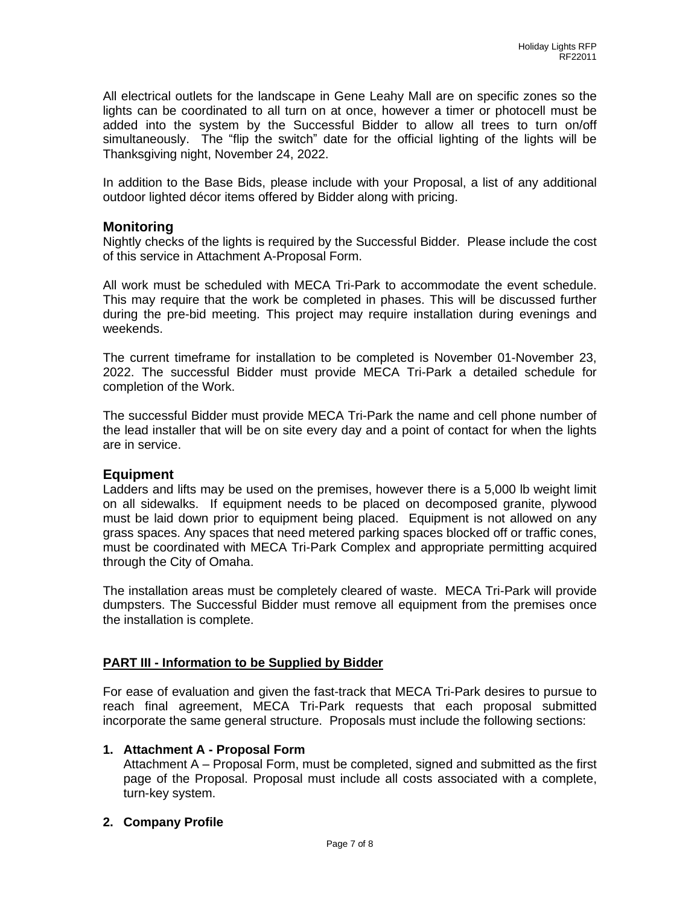All electrical outlets for the landscape in Gene Leahy Mall are on specific zones so the lights can be coordinated to all turn on at once, however a timer or photocell must be added into the system by the Successful Bidder to allow all trees to turn on/off simultaneously. The "flip the switch" date for the official lighting of the lights will be Thanksgiving night, November 24, 2022.

In addition to the Base Bids, please include with your Proposal, a list of any additional outdoor lighted décor items offered by Bidder along with pricing.

## **Monitoring**

Nightly checks of the lights is required by the Successful Bidder. Please include the cost of this service in Attachment A-Proposal Form.

All work must be scheduled with MECA Tri-Park to accommodate the event schedule. This may require that the work be completed in phases. This will be discussed further during the pre-bid meeting. This project may require installation during evenings and weekends.

The current timeframe for installation to be completed is November 01-November 23, 2022. The successful Bidder must provide MECA Tri-Park a detailed schedule for completion of the Work.

The successful Bidder must provide MECA Tri-Park the name and cell phone number of the lead installer that will be on site every day and a point of contact for when the lights are in service.

## **Equipment**

Ladders and lifts may be used on the premises, however there is a 5,000 lb weight limit on all sidewalks. If equipment needs to be placed on decomposed granite, plywood must be laid down prior to equipment being placed. Equipment is not allowed on any grass spaces. Any spaces that need metered parking spaces blocked off or traffic cones, must be coordinated with MECA Tri-Park Complex and appropriate permitting acquired through the City of Omaha.

The installation areas must be completely cleared of waste. MECA Tri-Park will provide dumpsters. The Successful Bidder must remove all equipment from the premises once the installation is complete.

## **PART III - Information to be Supplied by Bidder**

For ease of evaluation and given the fast-track that MECA Tri-Park desires to pursue to reach final agreement, MECA Tri-Park requests that each proposal submitted incorporate the same general structure. Proposals must include the following sections:

## **1. Attachment A - Proposal Form**

Attachment A – Proposal Form, must be completed, signed and submitted as the first page of the Proposal. Proposal must include all costs associated with a complete, turn-key system.

## **2. Company Profile**